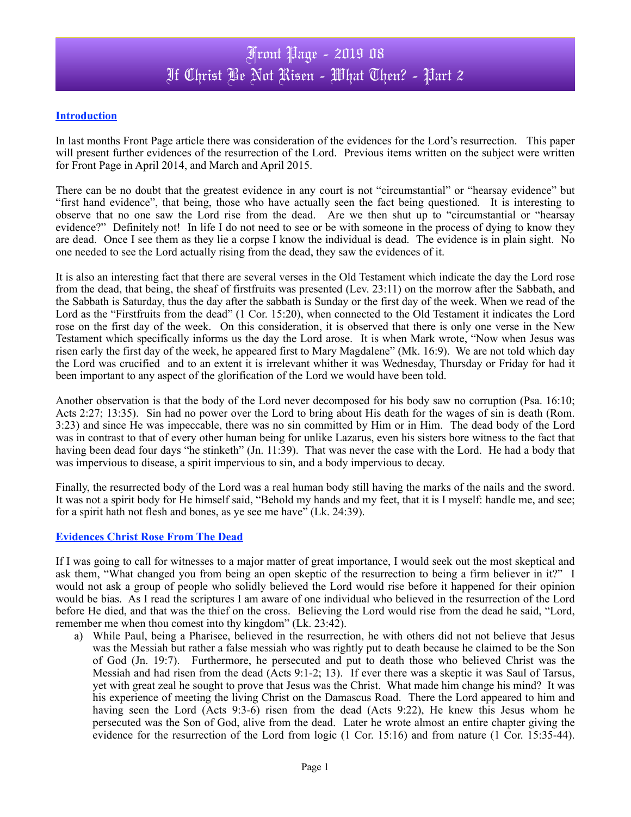### **Introduction**

In last months Front Page article there was consideration of the evidences for the Lord's resurrection. This paper will present further evidences of the resurrection of the Lord. Previous items written on the subject were written for Front Page in April 2014, and March and April 2015.

There can be no doubt that the greatest evidence in any court is not "circumstantial" or "hearsay evidence" but "first hand evidence", that being, those who have actually seen the fact being questioned. It is interesting to observe that no one saw the Lord rise from the dead. Are we then shut up to "circumstantial or "hearsay evidence?" Definitely not! In life I do not need to see or be with someone in the process of dying to know they are dead. Once I see them as they lie a corpse I know the individual is dead. The evidence is in plain sight. No one needed to see the Lord actually rising from the dead, they saw the evidences of it.

It is also an interesting fact that there are several verses in the Old Testament which indicate the day the Lord rose from the dead, that being, the sheaf of firstfruits was presented (Lev. 23:11) on the morrow after the Sabbath, and the Sabbath is Saturday, thus the day after the sabbath is Sunday or the first day of the week. When we read of the Lord as the "Firstfruits from the dead" (1 Cor. 15:20), when connected to the Old Testament it indicates the Lord rose on the first day of the week. On this consideration, it is observed that there is only one verse in the New Testament which specifically informs us the day the Lord arose. It is when Mark wrote, "Now when Jesus was risen early the first day of the week, he appeared first to Mary Magdalene" (Mk. 16:9). We are not told which day the Lord was crucified and to an extent it is irrelevant whither it was Wednesday, Thursday or Friday for had it been important to any aspect of the glorification of the Lord we would have been told.

Another observation is that the body of the Lord never decomposed for his body saw no corruption (Psa. 16:10; Acts 2:27; 13:35). Sin had no power over the Lord to bring about His death for the wages of sin is death (Rom. 3:23) and since He was impeccable, there was no sin committed by Him or in Him. The dead body of the Lord was in contrast to that of every other human being for unlike Lazarus, even his sisters bore witness to the fact that having been dead four days "he stinketh" (Jn. 11:39). That was never the case with the Lord. He had a body that was impervious to disease, a spirit impervious to sin, and a body impervious to decay.

Finally, the resurrected body of the Lord was a real human body still having the marks of the nails and the sword. It was not a spirit body for He himself said, "Behold my hands and my feet, that it is I myself: handle me, and see; for a spirit hath not flesh and bones, as ye see me have" (Lk. 24:39).

### **Evidences Christ Rose From The Dead**

If I was going to call for witnesses to a major matter of great importance, I would seek out the most skeptical and ask them, "What changed you from being an open skeptic of the resurrection to being a firm believer in it?" I would not ask a group of people who solidly believed the Lord would rise before it happened for their opinion would be bias. As I read the scriptures I am aware of one individual who believed in the resurrection of the Lord before He died, and that was the thief on the cross. Believing the Lord would rise from the dead he said, "Lord, remember me when thou comest into thy kingdom" (Lk. 23:42).

a) While Paul, being a Pharisee, believed in the resurrection, he with others did not not believe that Jesus was the Messiah but rather a false messiah who was rightly put to death because he claimed to be the Son of God (Jn. 19:7). Furthermore, he persecuted and put to death those who believed Christ was the Messiah and had risen from the dead (Acts 9:1-2; 13). If ever there was a skeptic it was Saul of Tarsus, yet with great zeal he sought to prove that Jesus was the Christ. What made him change his mind? It was his experience of meeting the living Christ on the Damascus Road. There the Lord appeared to him and having seen the Lord (Acts 9:3-6) risen from the dead (Acts 9:22), He knew this Jesus whom he persecuted was the Son of God, alive from the dead. Later he wrote almost an entire chapter giving the evidence for the resurrection of the Lord from logic (1 Cor. 15:16) and from nature (1 Cor. 15:35-44).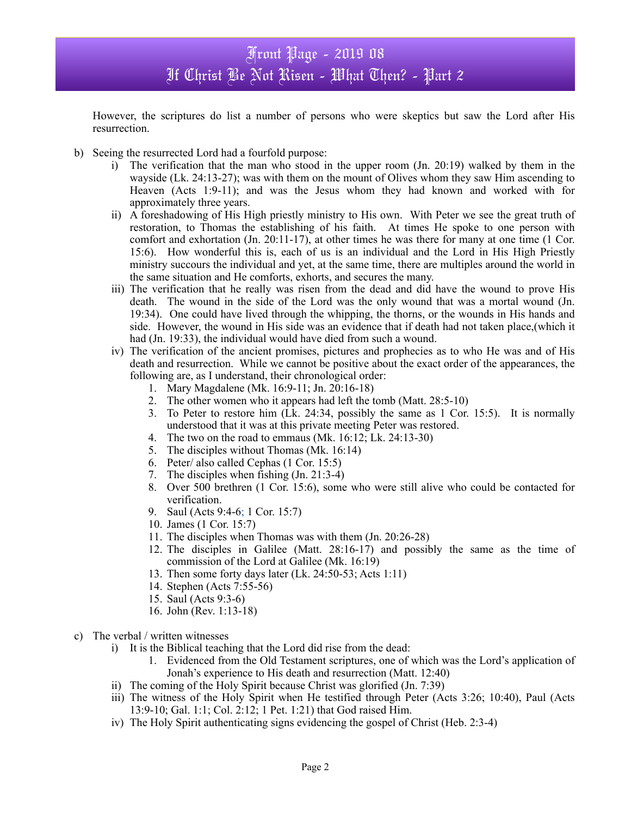## Front Page - 2019 08 If Christ Be Not Risen - What Then? - Part 2

However, the scriptures do list a number of persons who were skeptics but saw the Lord after His resurrection.

- b) Seeing the resurrected Lord had a fourfold purpose:
	- i) The verification that the man who stood in the upper room (Jn. 20:19) walked by them in the wayside (Lk. 24:13-27); was with them on the mount of Olives whom they saw Him ascending to Heaven (Acts 1:9-11); and was the Jesus whom they had known and worked with for approximately three years.
	- ii) A foreshadowing of His High priestly ministry to His own. With Peter we see the great truth of restoration, to Thomas the establishing of his faith. At times He spoke to one person with comfort and exhortation (Jn. 20:11-17), at other times he was there for many at one time (1 Cor. 15:6). How wonderful this is, each of us is an individual and the Lord in His High Priestly ministry succours the individual and yet, at the same time, there are multiples around the world in the same situation and He comforts, exhorts, and secures the many.
	- iii) The verification that he really was risen from the dead and did have the wound to prove His death. The wound in the side of the Lord was the only wound that was a mortal wound (Jn. 19:34). One could have lived through the whipping, the thorns, or the wounds in His hands and side. However, the wound in His side was an evidence that if death had not taken place,(which it had (Jn. 19:33), the individual would have died from such a wound.
	- iv) The verification of the ancient promises, pictures and prophecies as to who He was and of His death and resurrection. While we cannot be positive about the exact order of the appearances, the following are, as I understand, their chronological order:
		- 1. Mary Magdalene (Mk. 16:9-11; Jn. 20:16-18)
		- 2. The other women who it appears had left the tomb (Matt. 28:5-10)
		- 3. To Peter to restore him (Lk. 24:34, possibly the same as 1 Cor. 15:5). It is normally understood that it was at this private meeting Peter was restored.
		- 4. The two on the road to emmaus (Mk. 16:12; Lk. 24:13-30)
		- 5. The disciples without Thomas (Mk. 16:14)
		- 6. Peter/ also called Cephas (1 Cor. 15:5)
		- 7. The disciples when fishing (Jn. 21:3-4)
		- 8. Over 500 brethren (1 Cor. 15:6), some who were still alive who could be contacted for verification.
		- 9. Saul (Acts 9:4-6; 1 Cor. 15:7)
		- 10. James (1 Cor. 15:7)
		- 11. The disciples when Thomas was with them (Jn. 20:26-28)
		- 12. The disciples in Galilee (Matt. 28:16-17) and possibly the same as the time of commission of the Lord at Galilee (Mk. 16:19)
		- 13. Then some forty days later (Lk. 24:50-53; Acts 1:11)
		- 14. Stephen (Acts 7:55-56)
		- 15. Saul (Acts 9:3-6)
		- 16. John (Rev. 1:13-18)
- c) The verbal / written witnesses
	- i) It is the Biblical teaching that the Lord did rise from the dead:
		- 1. Evidenced from the Old Testament scriptures, one of which was the Lord's application of Jonah's experience to His death and resurrection (Matt. 12:40)
	- ii) The coming of the Holy Spirit because Christ was glorified (Jn. 7:39)
	- iii) The witness of the Holy Spirit when He testified through Peter (Acts 3:26; 10:40), Paul (Acts 13:9-10; Gal. 1:1; Col. 2:12; 1 Pet. 1:21) that God raised Him.
	- iv) The Holy Spirit authenticating signs evidencing the gospel of Christ (Heb. 2:3-4)